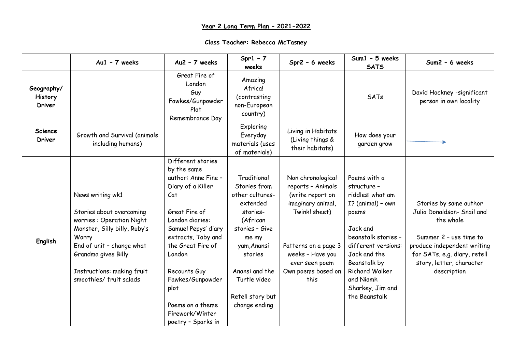## **Year 2 Long Term Plan – 2021-2022**

| Class Teacher: Rebecca McTasney |  |  |  |
|---------------------------------|--|--|--|
|---------------------------------|--|--|--|

|                                 | $Au1 - 7$ weeks                                                                                                                                                                                                                | $Au2 - 7$ weeks                                                                                                                                                                                                                                                                                              | $Spr1 - 7$<br>weeks                                                                                                                                                                                            | Spr2 - 6 weeks                                                                                                                                                                               | Sum1 - 5 weeks<br><b>SATS</b>                                                                                                                                                                                                               | Sum2 - 6 weeks                                                                                                                                                                                        |
|---------------------------------|--------------------------------------------------------------------------------------------------------------------------------------------------------------------------------------------------------------------------------|--------------------------------------------------------------------------------------------------------------------------------------------------------------------------------------------------------------------------------------------------------------------------------------------------------------|----------------------------------------------------------------------------------------------------------------------------------------------------------------------------------------------------------------|----------------------------------------------------------------------------------------------------------------------------------------------------------------------------------------------|---------------------------------------------------------------------------------------------------------------------------------------------------------------------------------------------------------------------------------------------|-------------------------------------------------------------------------------------------------------------------------------------------------------------------------------------------------------|
| Geography/<br>History<br>Driver |                                                                                                                                                                                                                                | Great Fire of<br>London<br>Guy<br>Fawkes/Gunpowder<br>Plot<br>Remembrance Day                                                                                                                                                                                                                                | Amazing<br>Africa!<br>(contrasting<br>non-European<br>country)                                                                                                                                                 |                                                                                                                                                                                              | SATs                                                                                                                                                                                                                                        | David Hockney -significant<br>person in own locality                                                                                                                                                  |
| <b>Science</b><br>Driver        | Growth and Survival (animals<br>including humans)                                                                                                                                                                              |                                                                                                                                                                                                                                                                                                              | Exploring<br>Everyday<br>materials (uses<br>of materials)                                                                                                                                                      | Living in Habitats<br>(Living things &<br>their habitats)                                                                                                                                    | How does your<br>garden grow                                                                                                                                                                                                                |                                                                                                                                                                                                       |
| English                         | News writing wk1<br>Stories about overcoming<br>worries: Operation Night<br>Monster, Silly billy, Ruby's<br>Worry<br>End of unit - change what<br>Grandma gives Billy<br>Instructions: making fruit<br>smoothies/ fruit salads | Different stories<br>by the same<br>author: Anne Fine -<br>Diary of a Killer<br>Cat<br>Great Fire of<br>London diaries:<br>Samuel Pepys' diary<br>extracts, Toby and<br>the Great Fire of<br>London<br>Recounts Guy<br>Fawkes/Gunpowder<br>plot<br>Poems on a theme<br>Firework/Winter<br>poetry - Sparks in | Traditional<br>Stories from<br>other cultures-<br>extended<br>stories-<br>(African<br>stories - Give<br>me my<br>yam, Anansi<br>stories<br>Anansi and the<br>Turtle video<br>Retell story but<br>change ending | Non chronological<br>reports - Animals<br>(write report on<br>imaginary animal,<br>Twinkl sheet)<br>Patterns on a page 3<br>weeks - Have you<br>ever seen poem<br>Own poems based on<br>this | Poems with a<br>structure -<br>riddles: what am<br>I? (animal) - own<br>poems<br>Jack and<br>beanstalk stories -<br>different versions:<br>Jack and the<br>Beanstalk by<br>Richard Walker<br>and Niamh<br>Sharkey, Jim and<br>the Beanstalk | Stories by same author<br>Julia Donaldson- Snail and<br>the whale<br>Summer 2 - use time to<br>produce independent writing<br>for SATs, e.g. diary, retell<br>story, letter, character<br>description |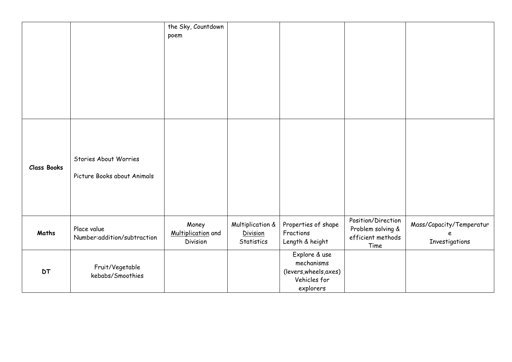|                    |                                                      | the Sky, Countdown<br>poem              |                                                   |                                                                                    |                                                                      |                                                  |
|--------------------|------------------------------------------------------|-----------------------------------------|---------------------------------------------------|------------------------------------------------------------------------------------|----------------------------------------------------------------------|--------------------------------------------------|
|                    |                                                      |                                         |                                                   |                                                                                    |                                                                      |                                                  |
| <b>Class Books</b> | Stories About Worries<br>Picture Books about Animals |                                         |                                                   |                                                                                    |                                                                      |                                                  |
| Maths              | Place value<br>Number: addition/subtraction          | Money<br>Multiplication and<br>Division | Multiplication &<br><b>Division</b><br>Statistics | Properties of shape<br>Fractions<br>Length & height                                | Position/Direction<br>Problem solving &<br>efficient methods<br>Time | Mass/Capacity/Temperatur<br>P.<br>Investigations |
| <b>DT</b>          | Fruit/Vegetable<br>kebabs/Smoothies                  |                                         |                                                   | Explore & use<br>mechanisms<br>(levers, wheels, axes)<br>Vehicles for<br>explorers |                                                                      |                                                  |